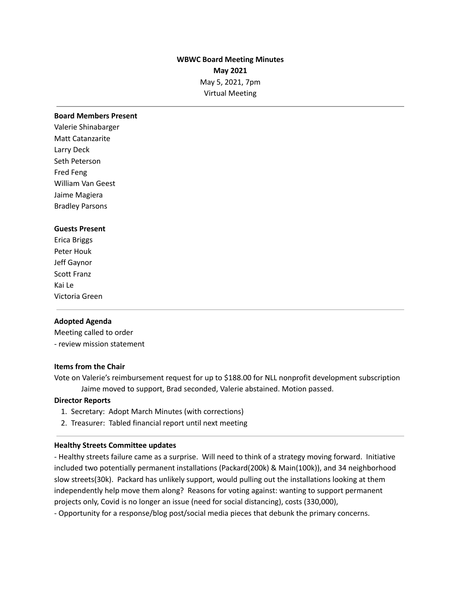# **WBWC Board Meeting Minutes May 2021** May 5, 2021, 7pm Virtual Meeting

#### **Board Members Present**

Valerie Shinabarger Matt Catanzarite Larry Deck Seth Peterson Fred Feng William Van Geest Jaime Magiera Bradley Parsons

#### **Guests Present**

Erica Briggs Peter Houk Jeff Gaynor Scott Franz Kai Le Victoria Green

#### **Adopted Agenda**

Meeting called to order - review mission statement

#### **Items from the Chair**

Vote on Valerie's reimbursement request for up to \$188.00 for NLL nonprofit development subscription Jaime moved to support, Brad seconded, Valerie abstained. Motion passed.

#### **Director Reports**

- 1. Secretary: Adopt March Minutes (with corrections)
- 2. Treasurer: Tabled financial report until next meeting

#### **Healthy Streets Committee updates**

- Healthy streets failure came as a surprise. Will need to think of a strategy moving forward. Initiative included two potentially permanent installations (Packard(200k) & Main(100k)), and 34 neighborhood slow streets(30k). Packard has unlikely support, would pulling out the installations looking at them independently help move them along? Reasons for voting against: wanting to support permanent projects only, Covid is no longer an issue (need for social distancing), costs (330,000),

- Opportunity for a response/blog post/social media pieces that debunk the primary concerns.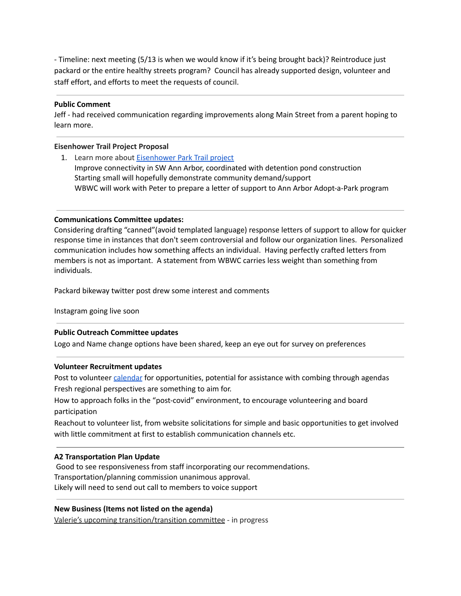- Timeline: next meeting (5/13 is when we would know if it's being brought back)? Reintroduce just packard or the entire healthy streets program? Council has already supported design, volunteer and staff effort, and efforts to meet the requests of council.

### **Public Comment**

Jeff - had received communication regarding improvements along Main Street from a parent hoping to learn more.

### **Eisenhower Trail Project Proposal**

1. Learn more about [Eisenhower](https://docs.google.com/document/d/1pkeGaq2jv85lkCDKT3o5jqh-ZumXt0TZQatzwe2CqFw/edit?usp=sharing) Park Trail project Improve connectivity in SW Ann Arbor, coordinated with detention pond construction Starting small will hopefully demonstrate community demand/support WBWC will work with Peter to prepare a letter of support to Ann Arbor Adopt-a-Park program

### **Communications Committee updates:**

Considering drafting "canned"(avoid templated language) response letters of support to allow for quicker response time in instances that don't seem controversial and follow our organization lines. Personalized communication includes how something affects an individual. Having perfectly crafted letters from members is not as important. A statement from WBWC carries less weight than something from individuals.

Packard bikeway twitter post drew some interest and comments

Instagram going live soon

#### **Public Outreach Committee updates**

Logo and Name change options have been shared, keep an eye out for survey on preferences

#### **Volunteer Recruitment updates**

Post to volunteer [calendar](https://docs.google.com/spreadsheets/d/1oewywvixyzwEB1x-nCvWY9fBF2bKAPZFXRpZTOSI_l4/edit#gid=0) for opportunities, potential for assistance with combing through agendas Fresh regional perspectives are something to aim for.

How to approach folks in the "post-covid" environment, to encourage volunteering and board participation

Reachout to volunteer list, from website solicitations for simple and basic opportunities to get involved with little commitment at first to establish communication channels etc.

#### **A2 Transportation Plan Update**

Good to see responsiveness from staff incorporating our recommendations. Transportation/planning commission unanimous approval. Likely will need to send out call to members to voice support

### **New Business (Items not listed on the agenda)**

Valerie's upcoming transition/transition committee - in progress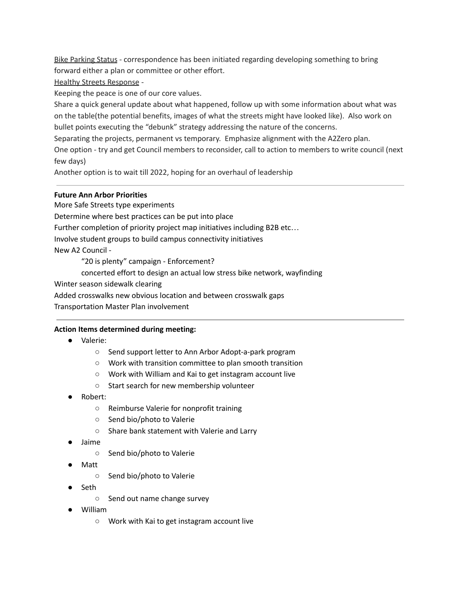Bike Parking Status - correspondence has been initiated regarding developing something to bring forward either a plan or committee or other effort.

Healthy Streets Response -

Keeping the peace is one of our core values.

Share a quick general update about what happened, follow up with some information about what was on the table(the potential benefits, images of what the streets might have looked like). Also work on bullet points executing the "debunk" strategy addressing the nature of the concerns.

Separating the projects, permanent vs temporary. Emphasize alignment with the A2Zero plan.

One option - try and get Council members to reconsider, call to action to members to write council (next few days)

Another option is to wait till 2022, hoping for an overhaul of leadership

# **Future Ann Arbor Priorities**

More Safe Streets type experiments

Determine where best practices can be put into place

Further completion of priority project map initiatives including B2B etc…

Involve student groups to build campus connectivity initiatives

New A2 Council -

"20 is plenty" campaign - Enforcement?

concerted effort to design an actual low stress bike network, wayfinding

Winter season sidewalk clearing

Added crosswalks new obvious location and between crosswalk gaps

Transportation Master Plan involvement

### **Action Items determined during meeting:**

- Valerie:
	- Send support letter to Ann Arbor Adopt-a-park program
	- Work with transition committee to plan smooth transition
	- Work with William and Kai to get instagram account live
	- Start search for new membership volunteer
- Robert:
	- Reimburse Valerie for nonprofit training
	- Send bio/photo to Valerie
	- Share bank statement with Valerie and Larry
- Jaime
	- Send bio/photo to Valerie
- Matt
	- Send bio/photo to Valerie
- Seth
	- Send out name change survey
- William
	- Work with Kai to get instagram account live